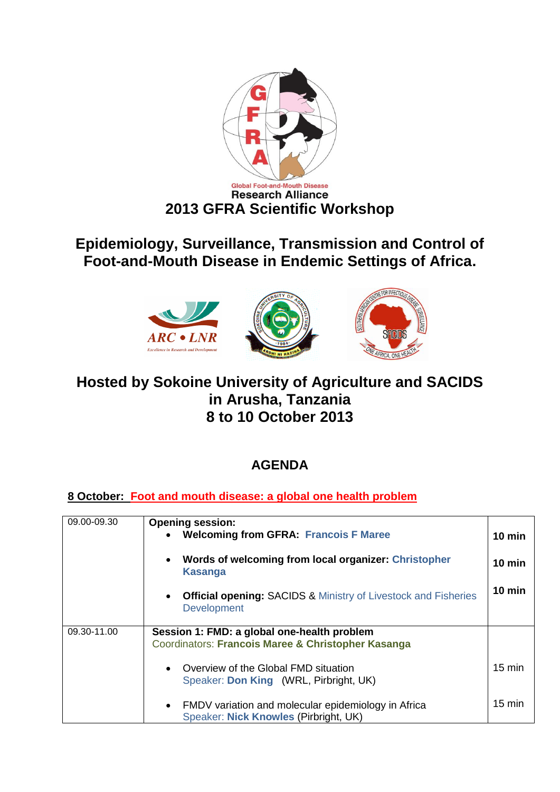

# **Epidemiology, Surveillance, Transmission and Control of Foot-and-Mouth Disease in Endemic Settings of Africa.**



## **Hosted by Sokoine University of Agriculture and SACIDS in Arusha, Tanzania 8 to 10 October 2013**

## **AGENDA**

#### **8 October: Foot and mouth disease: a global one health problem**

| 09.00-09.30 | <b>Opening session:</b><br><b>Welcoming from GFRA: Francois F Maree</b>                                   | $10$ min         |
|-------------|-----------------------------------------------------------------------------------------------------------|------------------|
|             | Words of welcoming from local organizer: Christopher<br>$\bullet$<br><b>Kasanga</b>                       | $10$ min         |
|             | <b>Official opening: SACIDS &amp; Ministry of Livestock and Fisheries</b><br><b>Development</b>           | $10$ min         |
| 09.30-11.00 | Session 1: FMD: a global one-health problem<br>Coordinators: Francois Maree & Christopher Kasanga         |                  |
|             | Overview of the Global FMD situation<br>$\bullet$<br>Speaker: Don King (WRL, Pirbright, UK)               | $15 \text{ min}$ |
|             | FMDV variation and molecular epidemiology in Africa<br>$\bullet$<br>Speaker: Nick Knowles (Pirbright, UK) | $15 \text{ min}$ |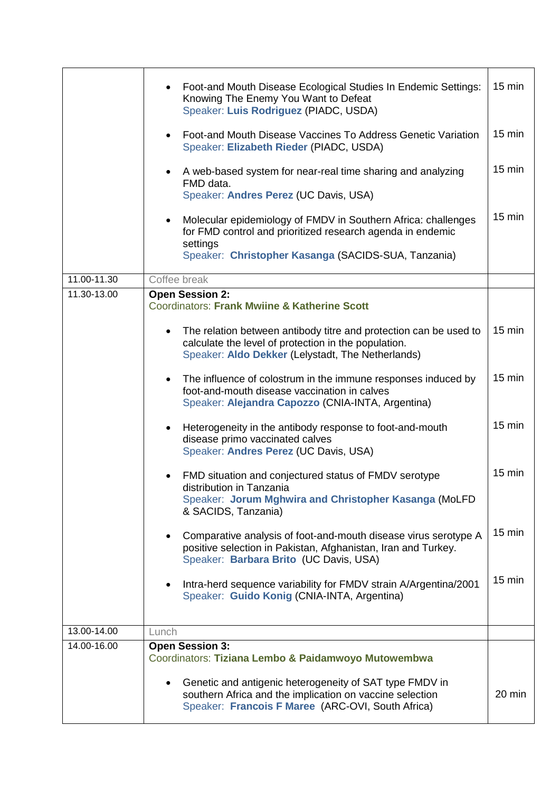|             | Foot-and Mouth Disease Ecological Studies In Endemic Settings:<br>Knowing The Enemy You Want to Defeat<br>Speaker: Luis Rodriguez (PIADC, USDA)                                | $15 \text{ min}$ |
|-------------|--------------------------------------------------------------------------------------------------------------------------------------------------------------------------------|------------------|
|             | Foot-and Mouth Disease Vaccines To Address Genetic Variation<br>Speaker: Elizabeth Rieder (PIADC, USDA)                                                                        | $15 \text{ min}$ |
|             | A web-based system for near-real time sharing and analyzing<br>FMD data.<br>Speaker: Andres Perez (UC Davis, USA)                                                              | $15 \text{ min}$ |
|             | Molecular epidemiology of FMDV in Southern Africa: challenges<br>$\bullet$<br>for FMD control and prioritized research agenda in endemic<br>settings                           | $15 \text{ min}$ |
|             | Speaker: Christopher Kasanga (SACIDS-SUA, Tanzania)                                                                                                                            |                  |
| 11.00-11.30 | Coffee break                                                                                                                                                                   |                  |
| 11.30-13.00 | <b>Open Session 2:</b><br>Coordinators: Frank Mwiine & Katherine Scott                                                                                                         |                  |
|             | The relation between antibody titre and protection can be used to<br>calculate the level of protection in the population.<br>Speaker: Aldo Dekker (Lelystadt, The Netherlands) | 15 min           |
|             | The influence of colostrum in the immune responses induced by<br>foot-and-mouth disease vaccination in calves<br>Speaker: Alejandra Capozzo (CNIA-INTA, Argentina)             | $15 \text{ min}$ |
|             | Heterogeneity in the antibody response to foot-and-mouth<br>$\bullet$<br>disease primo vaccinated calves<br>Speaker: Andres Perez (UC Davis, USA)                              | $15 \text{ min}$ |
|             | FMD situation and conjectured status of FMDV serotype<br>distribution in Tanzania<br>Speaker: Jorum Mghwira and Christopher Kasanga (MoLFD<br>& SACIDS, Tanzania)              | 15 min           |
|             | Comparative analysis of foot-and-mouth disease virus serotype A<br>positive selection in Pakistan, Afghanistan, Iran and Turkey.<br>Speaker: Barbara Brito (UC Davis, USA)     | $15 \text{ min}$ |
|             | Intra-herd sequence variability for FMDV strain A/Argentina/2001<br>Speaker: Guido Konig (CNIA-INTA, Argentina)                                                                | $15 \text{ min}$ |
| 13.00-14.00 | Lunch                                                                                                                                                                          |                  |
| 14.00-16.00 | <b>Open Session 3:</b><br>Coordinators: Tiziana Lembo & Paidamwoyo Mutowembwa                                                                                                  |                  |
|             | Genetic and antigenic heterogeneity of SAT type FMDV in<br>southern Africa and the implication on vaccine selection<br>Speaker: Francois F Maree (ARC-OVI, South Africa)       | $20 \text{ min}$ |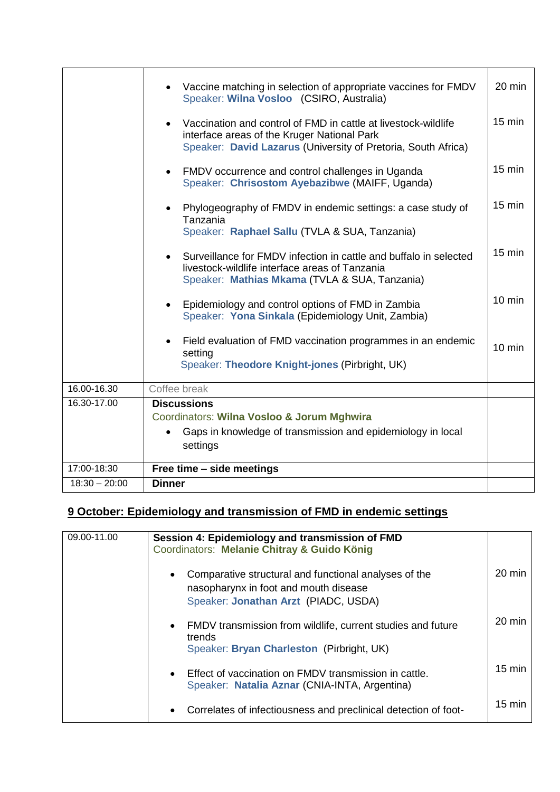|                 | Vaccine matching in selection of appropriate vaccines for FMDV<br>Speaker: Wilna Vosloo (CSIRO, Australia)                                                                     | 20 min           |
|-----------------|--------------------------------------------------------------------------------------------------------------------------------------------------------------------------------|------------------|
|                 | Vaccination and control of FMD in cattle at livestock-wildlife<br>interface areas of the Kruger National Park<br>Speaker: David Lazarus (University of Pretoria, South Africa) | 15 min           |
|                 | FMDV occurrence and control challenges in Uganda<br>$\bullet$<br>Speaker: Chrisostom Ayebazibwe (MAIFF, Uganda)                                                                | $15 \text{ min}$ |
|                 | Phylogeography of FMDV in endemic settings: a case study of<br>Tanzania<br>Speaker: Raphael Sallu (TVLA & SUA, Tanzania)                                                       | $15 \text{ min}$ |
|                 | Surveillance for FMDV infection in cattle and buffalo in selected<br>livestock-wildlife interface areas of Tanzania<br>Speaker: Mathias Mkama (TVLA & SUA, Tanzania)           | $15 \text{ min}$ |
|                 | Epidemiology and control options of FMD in Zambia<br>Speaker: Yona Sinkala (Epidemiology Unit, Zambia)                                                                         | $10 \text{ min}$ |
|                 | Field evaluation of FMD vaccination programmes in an endemic<br>setting<br>Speaker: Theodore Knight-jones (Pirbright, UK)                                                      | $10 \text{ min}$ |
| 16.00-16.30     | Coffee break                                                                                                                                                                   |                  |
| 16.30-17.00     | <b>Discussions</b><br>Coordinators: Wilna Vosloo & Jorum Mghwira<br>Gaps in knowledge of transmission and epidemiology in local<br>settings                                    |                  |
| 17:00-18:30     | Free time - side meetings                                                                                                                                                      |                  |
| $18:30 - 20:00$ | <b>Dinner</b>                                                                                                                                                                  |                  |

### **9 October: Epidemiology and transmission of FMD in endemic settings**

| 09.00-11.00 | Session 4: Epidemiology and transmission of FMD<br>Coordinators: Melanie Chitray & Guido König                                                      |                  |
|-------------|-----------------------------------------------------------------------------------------------------------------------------------------------------|------------------|
|             | Comparative structural and functional analyses of the<br>$\bullet$<br>nasopharynx in foot and mouth disease<br>Speaker: Jonathan Arzt (PIADC, USDA) | $20 \text{ min}$ |
|             | FMDV transmission from wildlife, current studies and future<br>$\bullet$<br>trends<br>Speaker: Bryan Charleston (Pirbright, UK)                     | $20 \text{ min}$ |
|             | Effect of vaccination on FMDV transmission in cattle.<br>$\bullet$<br>Speaker: Natalia Aznar (CNIA-INTA, Argentina)                                 | $15 \text{ min}$ |
|             | Correlates of infectiousness and preclinical detection of foot-<br>$\bullet$                                                                        | $15 \text{ min}$ |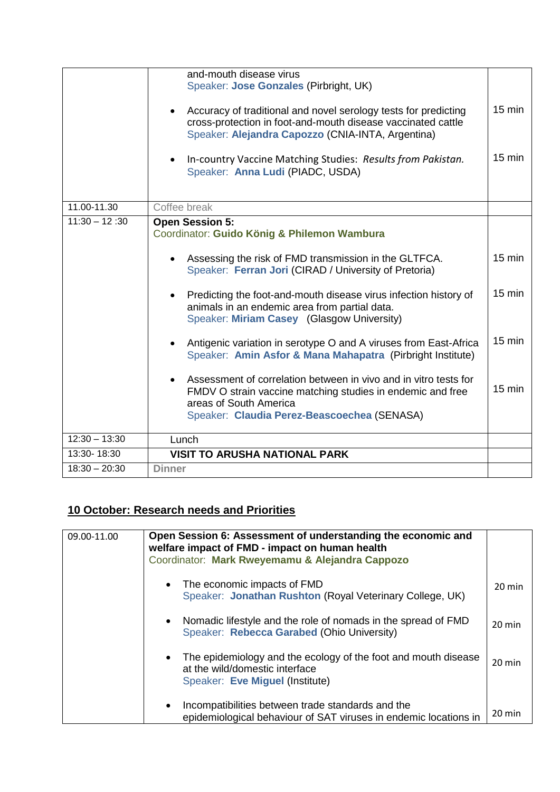|                 | and-mouth disease virus<br>Speaker: Jose Gonzales (Pirbright, UK)<br>Accuracy of traditional and novel serology tests for predicting<br>$\bullet$<br>cross-protection in foot-and-mouth disease vaccinated cattle<br>Speaker: Alejandra Capozzo (CNIA-INTA, Argentina)<br>In-country Vaccine Matching Studies: Results from Pakistan.<br>$\bullet$ | $15 \text{ min}$<br>$15 \text{ min}$ |
|-----------------|----------------------------------------------------------------------------------------------------------------------------------------------------------------------------------------------------------------------------------------------------------------------------------------------------------------------------------------------------|--------------------------------------|
|                 | Speaker: Anna Ludi (PIADC, USDA)                                                                                                                                                                                                                                                                                                                   |                                      |
| 11.00-11.30     | Coffee break                                                                                                                                                                                                                                                                                                                                       |                                      |
| $11:30 - 12:30$ | <b>Open Session 5:</b><br>Coordinator: Guido König & Philemon Wambura                                                                                                                                                                                                                                                                              |                                      |
|                 | Assessing the risk of FMD transmission in the GLTFCA.<br>$\bullet$<br>Speaker: Ferran Jori (CIRAD / University of Pretoria)                                                                                                                                                                                                                        | $15 \text{ min}$                     |
|                 | Predicting the foot-and-mouth disease virus infection history of<br>$\bullet$<br>animals in an endemic area from partial data.<br>Speaker: Miriam Casey (Glasgow University)                                                                                                                                                                       | $15 \text{ min}$                     |
|                 | Antigenic variation in serotype O and A viruses from East-Africa<br>Speaker: Amin Asfor & Mana Mahapatra (Pirbright Institute)                                                                                                                                                                                                                     | $15$ min                             |
|                 | Assessment of correlation between in vivo and in vitro tests for<br>$\bullet$<br>FMDV O strain vaccine matching studies in endemic and free<br>areas of South America<br>Speaker: Claudia Perez-Beascoechea (SENASA)                                                                                                                               | $15 \text{ min}$                     |
| $12:30 - 13:30$ | Lunch                                                                                                                                                                                                                                                                                                                                              |                                      |
| 13:30-18:30     | <b>VISIT TO ARUSHA NATIONAL PARK</b>                                                                                                                                                                                                                                                                                                               |                                      |
| $18:30 - 20:30$ | <b>Dinner</b>                                                                                                                                                                                                                                                                                                                                      |                                      |

#### **10 October: Research needs and Priorities**

| 09.00-11.00 | Open Session 6: Assessment of understanding the economic and<br>welfare impact of FMD - impact on human health<br>Coordinator: Mark Rweyemamu & Alejandra Cappozo |                  |
|-------------|-------------------------------------------------------------------------------------------------------------------------------------------------------------------|------------------|
|             | The economic impacts of FMD<br>Speaker: Jonathan Rushton (Royal Veterinary College, UK)                                                                           | $20 \text{ min}$ |
|             | Nomadic lifestyle and the role of nomads in the spread of FMD<br>Speaker: Rebecca Garabed (Ohio University)                                                       | $20 \text{ min}$ |
|             | The epidemiology and the ecology of the foot and mouth disease<br>at the wild/domestic interface<br>Speaker: Eve Miguel (Institute)                               | $20 \text{ min}$ |
|             | Incompatibilities between trade standards and the<br>$\bullet$<br>epidemiological behaviour of SAT viruses in endemic locations in                                | $20 \text{ min}$ |